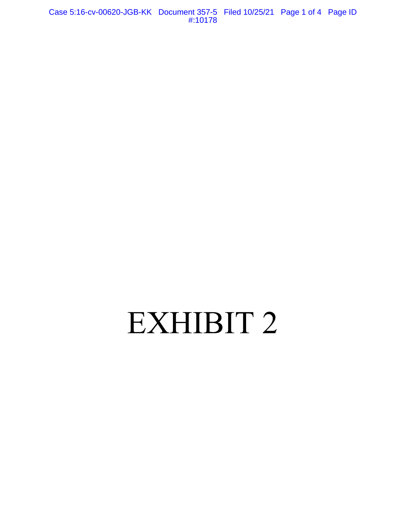Case 5:16-cv-00620-JGB-KK Document 357-5 Filed 10/25/21 Page 1 of 4 Page ID #:10178

# EXHIBIT 2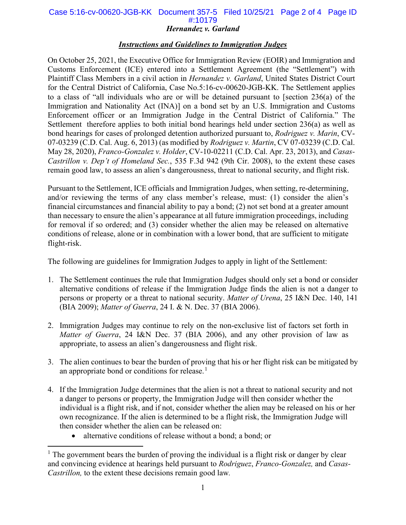# Case 5:16-cv-00620-JGB-KK Document 357-5 Filed 10/25/21 Page 2 of 4 Page ID #:10179

### *Hernandez v. Garland*

# *Instructions and Guidelines to Immigration Judges*

On October 25, 2021, the Executive Office for Immigration Review (EOIR) and Immigration and Customs Enforcement (ICE) entered into a Settlement Agreement (the "Settlement") with Plaintiff Class Members in a civil action in *Hernandez v. Garland*, United States District Court for the Central District of California, Case No.5:16-cv-00620-JGB-KK. The Settlement applies to a class of "all individuals who are or will be detained pursuant to [section 236(a) of the Immigration and Nationality Act (INA)] on a bond set by an U.S. Immigration and Customs Enforcement officer or an Immigration Judge in the Central District of California." The Settlement therefore applies to both initial bond hearings held under section 236(a) as well as bond hearings for cases of prolonged detention authorized pursuant to, *Rodriguez v. Marin*, CV-07-03239 (C.D. Cal. Aug. 6, 2013) (as modified by *Rodriguez v. Martin*, CV 07-03239 (C.D. Cal. May 28, 2020), *Franco-Gonzalez v. Holder*, CV-10-02211 (C.D. Cal. Apr. 23, 2013), and *Casas-Castrillon v. Dep't of Homeland Sec.*, 535 F.3d 942 (9th Cir. 2008), to the extent these cases remain good law, to assess an alien's dangerousness, threat to national security, and flight risk.

Pursuant to the Settlement, ICE officials and Immigration Judges, when setting, re-determining, and/or reviewing the terms of any class member's release, must: (1) consider the alien's financial circumstances and financial ability to pay a bond; (2) not set bond at a greater amount than necessary to ensure the alien's appearance at all future immigration proceedings, including for removal if so ordered; and (3) consider whether the alien may be released on alternative conditions of release, alone or in combination with a lower bond, that are sufficient to mitigate flight-risk.

The following are guidelines for Immigration Judges to apply in light of the Settlement:

- 1. The Settlement continues the rule that Immigration Judges should only set a bond or consider alternative conditions of release if the Immigration Judge finds the alien is not a danger to persons or property or a threat to national security. *Matter of Urena*, 25 I&N Dec. 140, 141 (BIA 2009); *Matter of Guerra*, 24 I. & N. Dec. 37 (BIA 2006).
- 2. Immigration Judges may continue to rely on the non-exclusive list of factors set forth in *Matter of Guerra*, 24 I&N Dec. 37 (BIA 2006), and any other provision of law as appropriate, to assess an alien's dangerousness and flight risk.
- 3. The alien continues to bear the burden of proving that his or her flight risk can be mitigated by an appropriate bond or conditions for release.<sup>[1](#page-1-0)</sup>
- 4. If the Immigration Judge determines that the alien is not a threat to national security and not a danger to persons or property, the Immigration Judge will then consider whether the individual is a flight risk, and if not, consider whether the alien may be released on his or her own recognizance. If the alien is determined to be a flight risk, the Immigration Judge will then consider whether the alien can be released on:
	- alternative conditions of release without a bond; a bond; or

<span id="page-1-0"></span> $<sup>1</sup>$  The government bears the burden of proving the individual is a flight risk or danger by clear</sup> and convincing evidence at hearings held pursuant to *Rodriguez*, *Franco-Gonzalez,* and *Casas-Castrillon,* to the extent these decisions remain good law*.*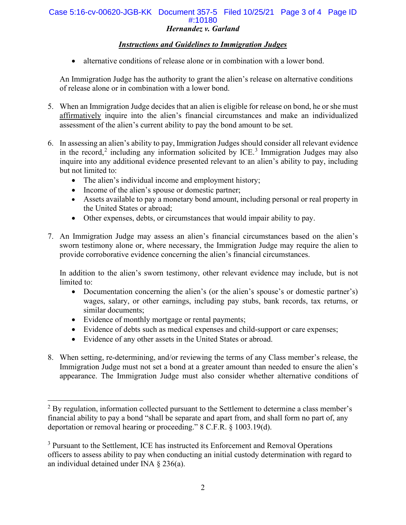### *Hernandez v. Garland* Case 5:16-cv-00620-JGB-KK Document 357-5 Filed 10/25/21 Page 3 of 4 Page ID #:10180

# *Instructions and Guidelines to Immigration Judges*

• alternative conditions of release alone or in combination with a lower bond.

An Immigration Judge has the authority to grant the alien's release on alternative conditions of release alone or in combination with a lower bond.

- 5. When an Immigration Judge decides that an alien is eligible for release on bond, he or she must affirmatively inquire into the alien's financial circumstances and make an individualized assessment of the alien's current ability to pay the bond amount to be set.
- 6. In assessing an alien's ability to pay, Immigration Judges should consider all relevant evidence in the record,<sup>[2](#page-2-0)</sup> including any information solicited by ICE.<sup>[3](#page-2-1)</sup> Immigration Judges may also inquire into any additional evidence presented relevant to an alien's ability to pay, including but not limited to:
	- The alien's individual income and employment history;
	- Income of the alien's spouse or domestic partner;
	- Assets available to pay a monetary bond amount, including personal or real property in the United States or abroad;
	- Other expenses, debts, or circumstances that would impair ability to pay.
- 7. An Immigration Judge may assess an alien's financial circumstances based on the alien's sworn testimony alone or, where necessary, the Immigration Judge may require the alien to provide corroborative evidence concerning the alien's financial circumstances.

In addition to the alien's sworn testimony, other relevant evidence may include, but is not limited to:

- Documentation concerning the alien's (or the alien's spouse's or domestic partner's) wages, salary, or other earnings, including pay stubs, bank records, tax returns, or similar documents;
- Evidence of monthly mortgage or rental payments;
- Evidence of debts such as medical expenses and child-support or care expenses;
- Evidence of any other assets in the United States or abroad.
- 8. When setting, re-determining, and/or reviewing the terms of any Class member's release, the Immigration Judge must not set a bond at a greater amount than needed to ensure the alien's appearance. The Immigration Judge must also consider whether alternative conditions of

<span id="page-2-0"></span> $2$  By regulation, information collected pursuant to the Settlement to determine a class member's financial ability to pay a bond "shall be separate and apart from, and shall form no part of, any deportation or removal hearing or proceeding." 8 C.F.R. § 1003.19(d).

<span id="page-2-1"></span><sup>&</sup>lt;sup>3</sup> Pursuant to the Settlement, ICE has instructed its Enforcement and Removal Operations officers to assess ability to pay when conducting an initial custody determination with regard to an individual detained under INA § 236(a).